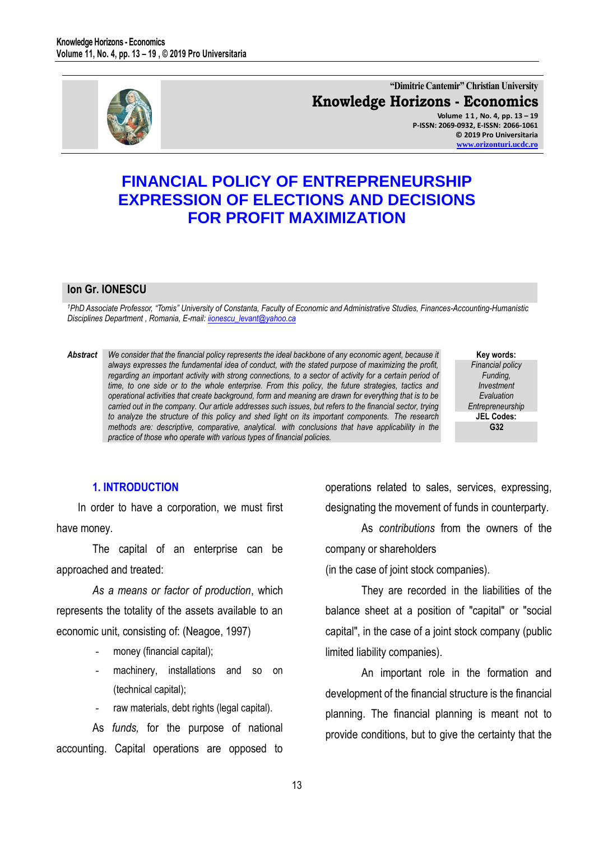

**"Dimitrie Cantemir" Christian University Knowledge Horizons - Economics Volume 1 1 , No. 4, pp. 13 – 19 P-ISSN: 2069-0932, E-ISSN: 2066-1061 © 2019 Pro Universitaria [www.orizonturi.ucdc.ro](http://www.orizonturi.ucdc.ro/)**

# **FINANCIAL POLICY OF ENTREPRENEURSHIP EXPRESSION OF ELECTIONS AND DECISIONS FOR PROFIT MAXIMIZATION**

#### **Ion Gr. IONESCU**

*<sup>1</sup>PhD Associate Professor, "Tomis" University of Constanta, Faculty of Economic and Administrative Studies, Finances-Accounting-Humanistic Disciplines Department , Romania, E-mail[: iionescu\\_levant@yahoo.ca](mailto:iionescu_levant@yahoo.ca)* 

*Abstract We consider that the financial policy represents the ideal backbone of any economic agent, because it always expresses the fundamental idea of conduct, with the stated purpose of maximizing the profit, regarding an important activity with strong connections, to a sector of activity for a certain period of time, to one side or to the whole enterprise. From this policy, the future strategies, tactics and operational activities that create background, form and meaning are drawn for everything that is to be carried out in the company. Our article addresses such issues, but refers to the financial sector, trying to analyze the structure of this policy and shed light on its important components. The research methods are: descriptive, comparative, analytical. with conclusions that have applicability in the practice of those who operate with various types of financial policies.* 

**Key words:** *Financial policy Funding, Investment Evaluation Entrepreneurship* **JEL Codes: G32**

# **1. INTRODUCTION**

In order to have a corporation, we must first have money.

The capital of an enterprise can be approached and treated:

*As a means or factor of production*, which represents the totality of the assets available to an economic unit, consisting of: (Neagoe, 1997)

- money (financial capital);
- machinery, installations and so on (technical capital);
- raw materials, debt rights (legal capital).

As *funds,* for the purpose of national accounting. Capital operations are opposed to operations related to sales, services, expressing, designating the movement of funds in counterparty.

As *contributions* from the owners of the company or shareholders

(in the case of joint stock companies).

They are recorded in the liabilities of the balance sheet at a position of "capital" or "social capital", in the case of a joint stock company (public limited liability companies).

An important role in the formation and development of the financial structure is the financial planning. The financial planning is meant not to provide conditions, but to give the certainty that the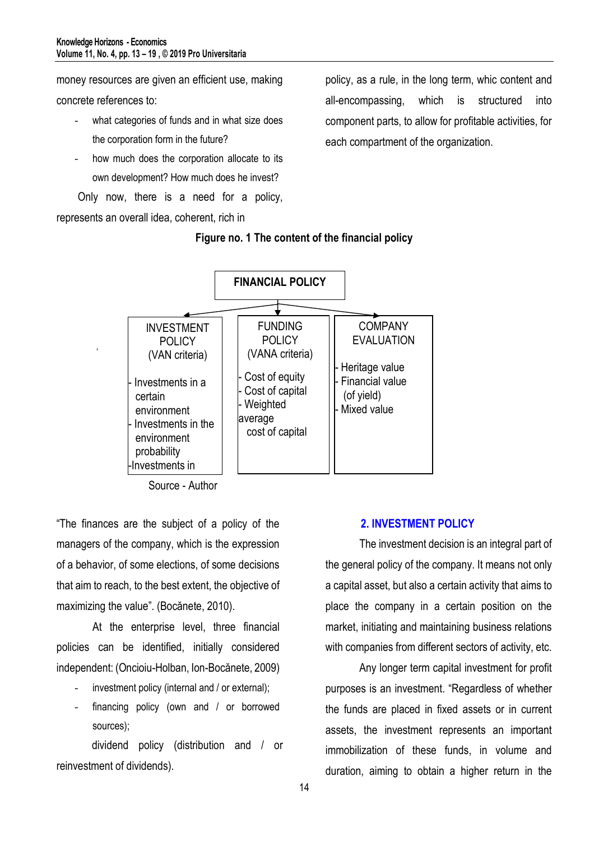money resources are given an efficient use, making

concrete references to:

Â

- what categories of funds and in what size does the corporation form in the future?
- how much does the corporation allocate to its own development? How much does he invest?
- Only now, there is a need for a policy,

represents an overall idea, coherent, rich in

policy, as a rule, in the long term, whic content and all-encompassing, which is structured into component parts, to allow for profitable activities, for each compartment of the organization.

## **Figure no. 1 The content of the financial policy**



Source - Author bource

"The finances are the subject of a policy of the managers of the company, which is the expression of a behavior, of some elections, of some decisions that aim to reach, to the best extent, the objective of maximizing the value". (Bocănete, 2010).

At the enterprise level, three financial policies can be identified, initially considered independent: (Oncioiu-Holban, Ion-Bocănete, 2009)

- investment policy (internal and / or external);
- financing policy (own and / or borrowed sources);

dividend policy (distribution and / or reinvestment of dividends).

#### **2. INVESTMENT POLICY**

The investment decision is an integral part of the general policy of the company. It means not only a capital asset, but also a certain activity that aims to place the company in a certain position on the market, initiating and maintaining business relations with companies from different sectors of activity, etc.

Any longer term capital investment for profit purposes is an investment. "Regardless of whether the funds are placed in fixed assets or in current assets, the investment represents an important immobilization of these funds, in volume and duration, aiming to obtain a higher return in the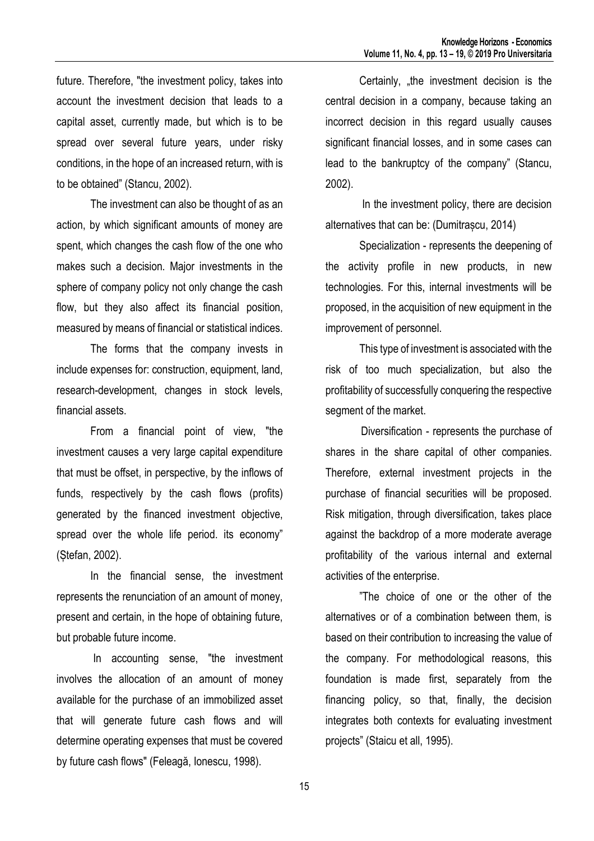future. Therefore, "the investment policy, takes into account the investment decision that leads to a capital asset, currently made, but which is to be spread over several future years, under risky conditions, in the hope of an increased return, with is to be obtained" (Stancu, 2002).

The investment can also be thought of as an action, by which significant amounts of money are spent, which changes the cash flow of the one who makes such a decision. Major investments in the sphere of company policy not only change the cash flow, but they also affect its financial position, measured by means of financial or statistical indices.

The forms that the company invests in include expenses for: construction, equipment, land, research-development, changes in stock levels, financial assets.

From a financial point of view, "the investment causes a very large capital expenditure that must be offset, in perspective, by the inflows of funds, respectively by the cash flows (profits) generated by the financed investment objective, spread over the whole life period. its economy" (Ștefan, 2002).

In the financial sense, the investment represents the renunciation of an amount of money, present and certain, in the hope of obtaining future, but probable future income.

In accounting sense, "the investment involves the allocation of an amount of money available for the purchase of an immobilized asset that will generate future cash flows and will determine operating expenses that must be covered by future cash flows" (Feleagă, Ionescu, 1998).

Certainly, the investment decision is the central decision in a company, because taking an incorrect decision in this regard usually causes significant financial losses, and in some cases can lead to the bankruptcy of the company" (Stancu, 2002).

In the investment policy, there are decision alternatives that can be: (Dumitrașcu, 2014)

Specialization - represents the deepening of the activity profile in new products, in new technologies. For this, internal investments will be proposed, in the acquisition of new equipment in the improvement of personnel.

This type of investment is associated with the risk of too much specialization, but also the profitability of successfully conquering the respective segment of the market.

 Diversification - represents the purchase of shares in the share capital of other companies. Therefore, external investment projects in the purchase of financial securities will be proposed. Risk mitigation, through diversification, takes place against the backdrop of a more moderate average profitability of the various internal and external activities of the enterprise.

"The choice of one or the other of the alternatives or of a combination between them, is based on their contribution to increasing the value of the company. For methodological reasons, this foundation is made first, separately from the financing policy, so that, finally, the decision integrates both contexts for evaluating investment projects" (Staicu et all, 1995).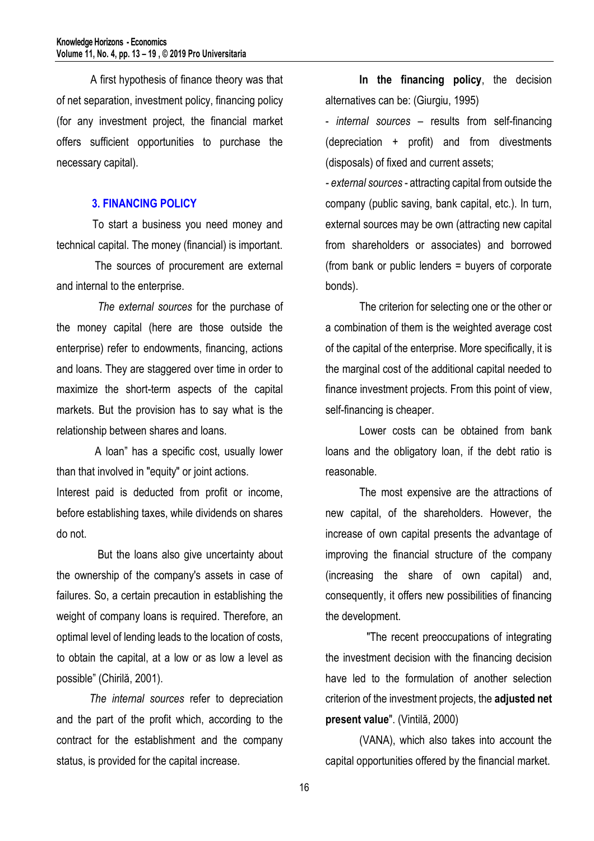A first hypothesis of finance theory was that of net separation, investment policy, financing policy (for any investment project, the financial market offers sufficient opportunities to purchase the necessary capital).

## **3. FINANCING POLICY**

To start a business you need money and technical capital. The money (financial) is important.

 The sources of procurement are external and internal to the enterprise.

 *The external sources* for the purchase of the money capital (here are those outside the enterprise) refer to endowments, financing, actions and loans. They are staggered over time in order to maximize the short-term aspects of the capital markets. But the provision has to say what is the relationship between shares and loans.

 A loan" has a specific cost, usually lower than that involved in "equity" or joint actions. Interest paid is deducted from profit or income, before establishing taxes, while dividends on shares do not.

 But the loans also give uncertainty about the ownership of the company's assets in case of failures. So, a certain precaution in establishing the weight of company loans is required. Therefore, an optimal level of lending leads to the location of costs, to obtain the capital, at a low or as low a level as possible" (Chirilă, 2001).

 *The internal sources* refer to depreciation and the part of the profit which, according to the contract for the establishment and the company status, is provided for the capital increase.

**In the financing policy**, the decision alternatives can be: (Giurgiu, 1995)

- *internal sources* – results from self-financing (depreciation + profit) and from divestments (disposals) of fixed and current assets;

*- external sources* - attracting capital from outside the company (public saving, bank capital, etc.). In turn, external sources may be own (attracting new capital from shareholders or associates) and borrowed (from bank or public lenders = buyers of corporate bonds).

The criterion for selecting one or the other or a combination of them is the weighted average cost of the capital of the enterprise. More specifically, it is the marginal cost of the additional capital needed to finance investment projects. From this point of view, self-financing is cheaper.

Lower costs can be obtained from bank loans and the obligatory loan, if the debt ratio is reasonable.

The most expensive are the attractions of new capital, of the shareholders. However, the increase of own capital presents the advantage of improving the financial structure of the company (increasing the share of own capital) and, consequently, it offers new possibilities of financing the development.

 "The recent preoccupations of integrating the investment decision with the financing decision have led to the formulation of another selection criterion of the investment projects, the **adjusted net present value**". (Vintilă, 2000)

(VANA), which also takes into account the capital opportunities offered by the financial market.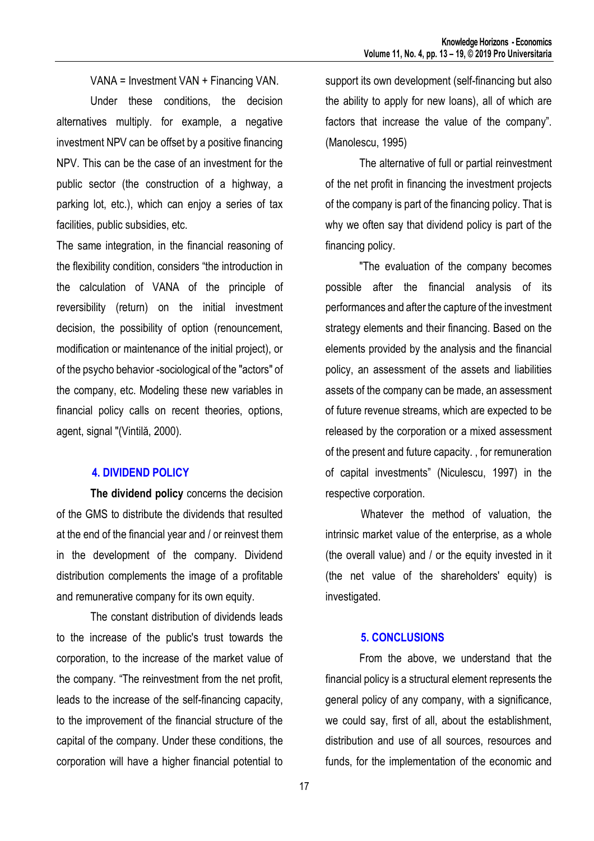VANA = Investment VAN + Financing VAN. Under these conditions, the decision alternatives multiply. for example, a negative investment NPV can be offset by a positive financing NPV. This can be the case of an investment for the public sector (the construction of a highway, a parking lot, etc.), which can enjoy a series of tax facilities, public subsidies, etc.

The same integration, in the financial reasoning of the flexibility condition, considers "the introduction in the calculation of VANA of the principle of reversibility (return) on the initial investment decision, the possibility of option (renouncement, modification or maintenance of the initial project), or of the psycho behavior -sociological of the "actors" of the company, etc. Modeling these new variables in financial policy calls on recent theories, options, agent, signal "(Vintilă, 2000).

## **4. DIVIDEND POLICY**

**The dividend policy** concerns the decision of the GMS to distribute the dividends that resulted at the end of the financial year and / or reinvest them in the development of the company. Dividend distribution complements the image of a profitable and remunerative company for its own equity.

The constant distribution of dividends leads to the increase of the public's trust towards the corporation, to the increase of the market value of the company. "The reinvestment from the net profit, leads to the increase of the self-financing capacity, to the improvement of the financial structure of the capital of the company. Under these conditions, the corporation will have a higher financial potential to

support its own development (self-financing but also the ability to apply for new loans), all of which are factors that increase the value of the company". (Manolescu, 1995)

The alternative of full or partial reinvestment of the net profit in financing the investment projects of the company is part of the financing policy. That is why we often say that dividend policy is part of the financing policy.

"The evaluation of the company becomes possible after the financial analysis of its performances and after the capture of the investment strategy elements and their financing. Based on the elements provided by the analysis and the financial policy, an assessment of the assets and liabilities assets of the company can be made, an assessment of future revenue streams, which are expected to be released by the corporation or a mixed assessment of the present and future capacity. , for remuneration of capital investments" (Niculescu, 1997) in the respective corporation.

Whatever the method of valuation, the intrinsic market value of the enterprise, as a whole (the overall value) and / or the equity invested in it (the net value of the shareholders' equity) is investigated.

# **5. CONCLUSIONS**

From the above, we understand that the financial policy is a structural element represents the general policy of any company, with a significance, we could say, first of all, about the establishment, distribution and use of all sources, resources and funds, for the implementation of the economic and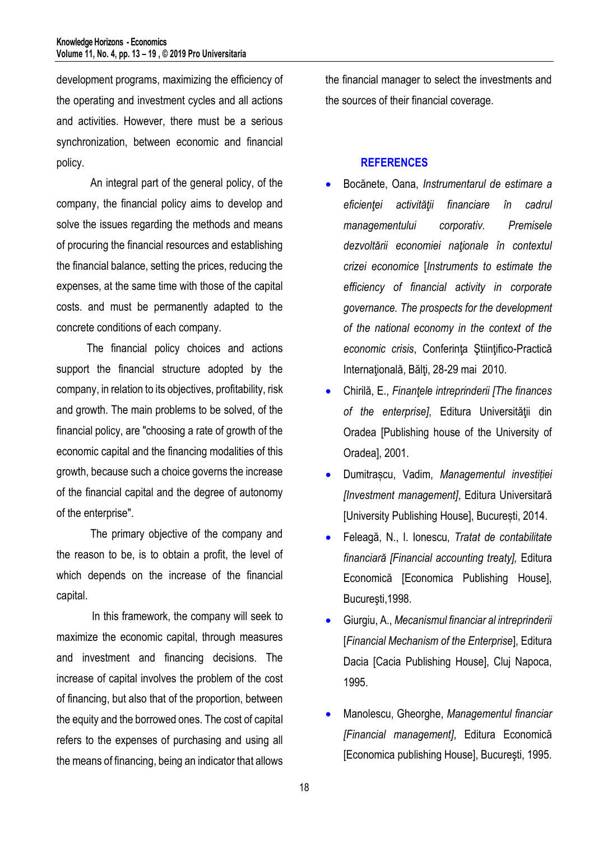development programs, maximizing the efficiency of the operating and investment cycles and all actions and activities. However, there must be a serious synchronization, between economic and financial policy.

An integral part of the general policy, of the company, the financial policy aims to develop and solve the issues regarding the methods and means of procuring the financial resources and establishing the financial balance, setting the prices, reducing the expenses, at the same time with those of the capital costs. and must be permanently adapted to the concrete conditions of each company.

 The financial policy choices and actions support the financial structure adopted by the company, in relation to its objectives, profitability, risk and growth. The main problems to be solved, of the financial policy, are "choosing a rate of growth of the economic capital and the financing modalities of this growth, because such a choice governs the increase of the financial capital and the degree of autonomy of the enterprise".

The primary objective of the company and the reason to be, is to obtain a profit, the level of which depends on the increase of the financial capital.

In this framework, the company will seek to maximize the economic capital, through measures and investment and financing decisions. The increase of capital involves the problem of the cost of financing, but also that of the proportion, between the equity and the borrowed ones. The cost of capital refers to the expenses of purchasing and using all the means of financing, being an indicator that allows

the financial manager to select the investments and the sources of their financial coverage.

# **REFERENCES**

- Bocănete, Oana, *Instrumentarul de estimare a eficienţei activităţii financiare în cadrul managementului corporativ. Premisele dezvoltării economiei naţionale în contextul crizei economice* [*Instruments to estimate the efficiency of financial activity in corporate governance. The prospects for the development of the national economy in the context of the economic crisis*, Conferinţa Ştiinţifico-Practică Internațională, Bălți, 28-29 mai 2010.
- Chirilă, E., *Finanţele intreprinderii [The finances of the enterprise]*, Editura Universităţii din Oradea [Publishing house of the University of Oradea], 2001.
- Dumitrașcu, Vadim, *Managementul investiției [Investment management]*, Editura Universitară [University Publishing House], București, 2014.
- Feleagă, N., I. Ionescu, *Tratat de contabilitate financiară [Financial accounting treaty],* Editura Economică [Economica Publishing House], Bucureşti,1998.
- Giurgiu, A., *Mecanismul financiar al intreprinderii*  [*Financial Mechanism of the Enterprise*], Editura Dacia [Cacia Publishing House], Cluj Napoca, 1995.
- Manolescu, Gheorghe, *Managementul financiar [Financial management]*, Editura Economică [Economica publishing House], Bucureşti, 1995.